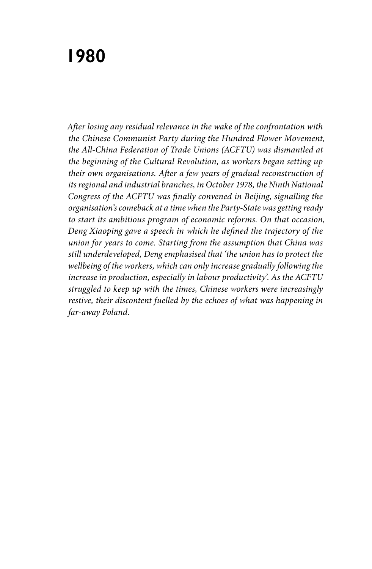## **1980**

*After losing any residual relevance in the wake of the confrontation with the Chinese Communist Party during the Hundred Flower Movement, the All-China Federation of Trade Unions (ACFTU) was dismantled at the beginning of the Cultural Revolution, as workers began setting up their own organisations. After a few years of gradual reconstruction of its regional and industrial branches, in October 1978, the Ninth National Congress of the ACFTU was finally convened in Beijing, signalling the organisation's comeback at a time when the Party-State was getting ready to start its ambitious program of economic reforms. On that occasion, Deng Xiaoping gave a speech in which he defined the trajectory of the union for years to come. Starting from the assumption that China was still underdeveloped, Deng emphasised that 'the union has to protect the wellbeing of the workers, which can only increase gradually following the increase in production, especially in labour productivity'. As the ACFTU struggled to keep up with the times, Chinese workers were increasingly restive, their discontent fuelled by the echoes of what was happening in far-away Poland.*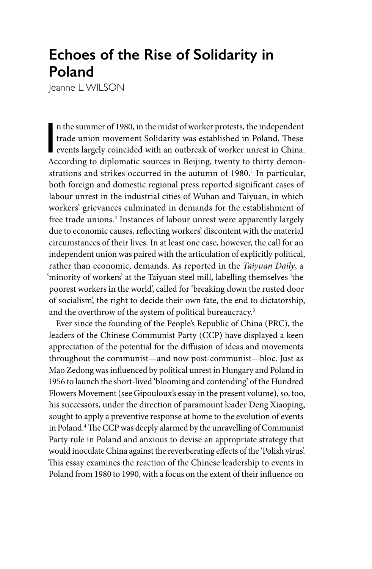## **Echoes of the Rise of Solidarity in Poland**

Jeanne L. WILSON

n the summer of 1980, in the midst of worker protests, the independent<br>trade union movement Solidarity was established in Poland. These<br>events largely coincided with an outbreak of worker unrest in China.<br>According to dipl n the summer of 1980, in the midst of worker protests, the independent trade union movement Solidarity was established in Poland. These According to diplomatic sources in Beijing, twenty to thirty demonstrations and strikes occurred in the autumn of 1980.<sup>1</sup> In particular, both foreign and domestic regional press reported significant cases of labour unrest in the industrial cities of Wuhan and Taiyuan, in which workers' grievances culminated in demands for the establishment of free trade unions.<sup>2</sup> Instances of labour unrest were apparently largely due to economic causes, reflecting workers' discontent with the material circumstances of their lives. In at least one case, however, the call for an independent union was paired with the articulation of explicitly political, rather than economic, demands. As reported in the *Taiyuan Daily*, a 'minority of workers' at the Taiyuan steel mill, labelling themselves 'the poorest workers in the world', called for 'breaking down the rusted door of socialism', the right to decide their own fate, the end to dictatorship, and the overthrow of the system of political bureaucracy.<sup>3</sup>

Ever since the founding of the People's Republic of China (PRC), the leaders of the Chinese Communist Party (CCP) have displayed a keen appreciation of the potential for the diffusion of ideas and movements throughout the communist—and now post-communist—bloc. Just as Mao Zedong was influenced by political unrest in Hungary and Poland in 1956 to launch the short-lived 'blooming and contending' of the Hundred Flowers Movement (see Gipouloux's essay in the present volume), so, too, his successors, under the direction of paramount leader Deng Xiaoping, sought to apply a preventive response at home to the evolution of events in Poland.4 The CCP was deeply alarmed by the unravelling of Communist Party rule in Poland and anxious to devise an appropriate strategy that would inoculate China against the reverberating effects of the 'Polish virus'. This essay examines the reaction of the Chinese leadership to events in Poland from 1980 to 1990, with a focus on the extent of their influence on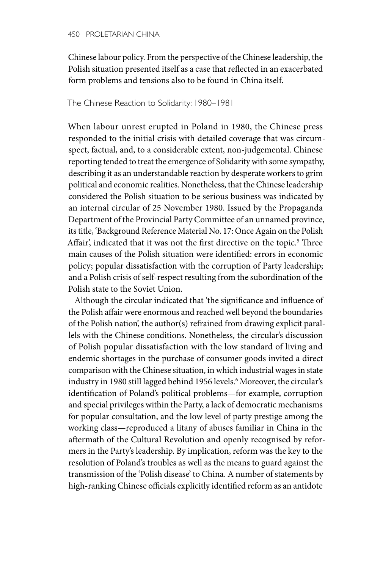Chinese labour policy. From the perspective of the Chinese leadership, the Polish situation presented itself as a case that reflected in an exacerbated form problems and tensions also to be found in China itself.

The Chinese Reaction to Solidarity: 1980–1981

When labour unrest erupted in Poland in 1980, the Chinese press responded to the initial crisis with detailed coverage that was circumspect, factual, and, to a considerable extent, non-judgemental. Chinese reporting tended to treat the emergence of Solidarity with some sympathy, describing it as an understandable reaction by desperate workers to grim political and economic realities. Nonetheless, that the Chinese leadership considered the Polish situation to be serious business was indicated by an internal circular of 25 November 1980. Issued by the Propaganda Department of the Provincial Party Committee of an unnamed province, its title, 'Background Reference Material No. 17: Once Again on the Polish Affair', indicated that it was not the first directive on the topic.<sup>5</sup> Three main causes of the Polish situation were identified: errors in economic policy; popular dissatisfaction with the corruption of Party leadership; and a Polish crisis of self-respect resulting from the subordination of the Polish state to the Soviet Union.

Although the circular indicated that 'the significance and influence of the Polish affair were enormous and reached well beyond the boundaries of the Polish nation', the author(s) refrained from drawing explicit parallels with the Chinese conditions. Nonetheless, the circular's discussion of Polish popular dissatisfaction with the low standard of living and endemic shortages in the purchase of consumer goods invited a direct comparison with the Chinese situation, in which industrial wages in state industry in 1980 still lagged behind 1956 levels.6 Moreover, the circular's identification of Poland's political problems—for example, corruption and special privileges within the Party, a lack of democratic mechanisms for popular consultation, and the low level of party prestige among the working class—reproduced a litany of abuses familiar in China in the aftermath of the Cultural Revolution and openly recognised by reformers in the Party's leadership. By implication, reform was the key to the resolution of Poland's troubles as well as the means to guard against the transmission of the 'Polish disease' to China. A number of statements by high-ranking Chinese officials explicitly identified reform as an antidote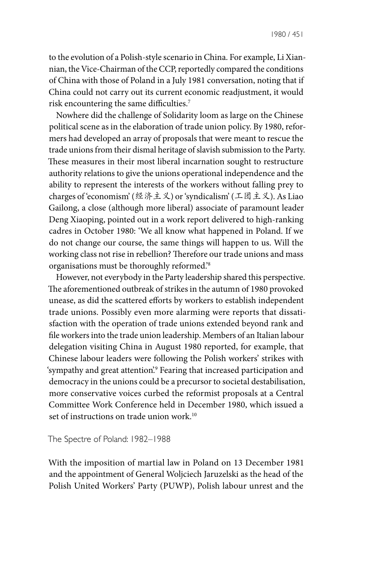to the evolution of a Polish-style scenario in China. For example, Li Xiannian, the Vice-Chairman of the CCP, reportedly compared the conditions of China with those of Poland in a July 1981 conversation, noting that if China could not carry out its current economic readjustment, it would risk encountering the same difficulties.7

Nowhere did the challenge of Solidarity loom as large on the Chinese political scene as in the elaboration of trade union policy. By 1980, reformers had developed an array of proposals that were meant to rescue the trade unions from their dismal heritage of slavish submission to the Party. These measures in their most liberal incarnation sought to restructure authority relations to give the unions operational independence and the ability to represent the interests of the workers without falling prey to charges of 'economism' (经济主义) or 'syndicalism' (工团主义). As Liao Gailong, a close (although more liberal) associate of paramount leader Deng Xiaoping, pointed out in a work report delivered to high-ranking cadres in October 1980: 'We all know what happened in Poland. If we do not change our course, the same things will happen to us. Will the working class not rise in rebellion? Therefore our trade unions and mass organisations must be thoroughly reformed.'8

However, not everybody in the Party leadership shared this perspective. The aforementioned outbreak of strikes in the autumn of 1980 provoked unease, as did the scattered efforts by workers to establish independent trade unions. Possibly even more alarming were reports that dissatisfaction with the operation of trade unions extended beyond rank and file workers into the trade union leadership. Members of an Italian labour delegation visiting China in August 1980 reported, for example, that Chinese labour leaders were following the Polish workers' strikes with 'sympathy and great attention'.<sup>9</sup> Fearing that increased participation and democracy in the unions could be a precursor to societal destabilisation, more conservative voices curbed the reformist proposals at a Central Committee Work Conference held in December 1980, which issued a set of instructions on trade union work.<sup>10</sup>

The Spectre of Poland: 1982–1988

With the imposition of martial law in Poland on 13 December 1981 and the appointment of General Woljciech Jaruzelski as the head of the Polish United Workers' Party (PUWP), Polish labour unrest and the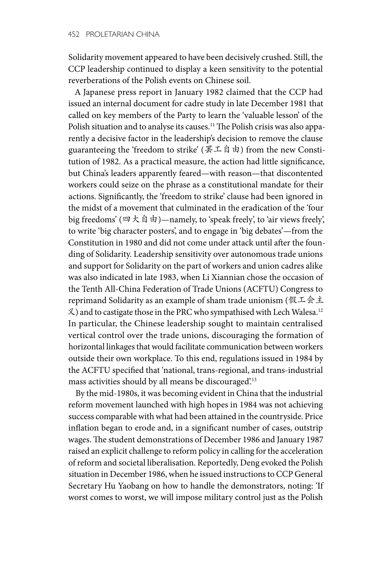Solidarity movement appeared to have been decisively crushed. Still, the CCP leadership continued to display a keen sensitivity to the potential reverberations of the Polish events on Chinese soil.

A Japanese press report in January 1982 claimed that the CCP had issued an internal document for cadre study in late December 1981 that called on key members of the Party to learn the 'valuable lesson' of the Polish situation and to analyse its causes.<sup>11</sup> The Polish crisis was also apparently a decisive factor in the leadership's decision to remove the clause guaranteeing the 'freedom to strike' (罢工自由) from the new Constitution of 1982. As a practical measure, the action had little significance, but China's leaders apparently feared—with reason—that discontented workers could seize on the phrase as a constitutional mandate for their actions. Significantly, the 'freedom to strike' clause had been ignored in the midst of a movement that culminated in the eradication of the 'four big freedoms' (四大自由)—namely, to 'speak freely', to 'air views freely', to write 'big character posters', and to engage in 'big debates'—from the Constitution in 1980 and did not come under attack until after the founding of Solidarity. Leadership sensitivity over autonomous trade unions and support for Solidarity on the part of workers and union cadres alike was also indicated in late 1983, when Li Xiannian chose the occasion of the Tenth All-China Federation of Trade Unions (ACFTU) Congress to reprimand Solidarity as an example of sham trade unionism (假工会主 义) and to castigate those in the PRC who sympathised with Lech Walesa.12 In particular, the Chinese leadership sought to maintain centralised vertical control over the trade unions, discouraging the formation of horizontal linkages that would facilitate communication between workers outside their own workplace. To this end, regulations issued in 1984 by the ACFTU specified that 'national, trans-regional, and trans-industrial mass activities should by all means be discouraged'.<sup>13</sup>

By the mid-1980s, it was becoming evident in China that the industrial reform movement launched with high hopes in 1984 was not achieving success comparable with what had been attained in the countryside. Price inflation began to erode and, in a significant number of cases, outstrip wages. The student demonstrations of December 1986 and January 1987 raised an explicit challenge to reform policy in calling for the acceleration of reform and societal liberalisation. Reportedly, Deng evoked the Polish situation in December 1986, when he issued instructions to CCP General Secretary Hu Yaobang on how to handle the demonstrators, noting: 'If worst comes to worst, we will impose military control just as the Polish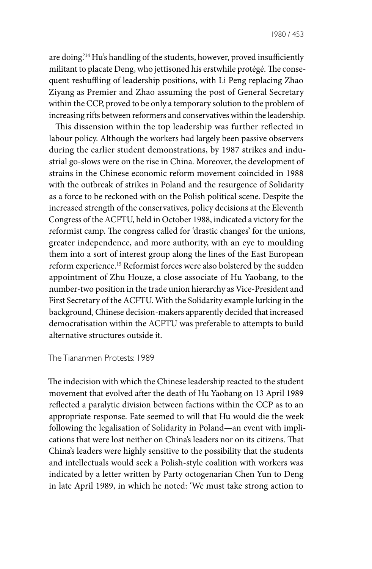are doing.'14 Hu's handling of the students, however, proved insufficiently militant to placate Deng, who jettisoned his erstwhile protégé. The consequent reshuffling of leadership positions, with Li Peng replacing Zhao Ziyang as Premier and Zhao assuming the post of General Secretary within the CCP, proved to be only a temporary solution to the problem of increasing rifts between reformers and conservatives within the leadership.

This dissension within the top leadership was further reflected in labour policy. Although the workers had largely been passive observers during the earlier student demonstrations, by 1987 strikes and industrial go-slows were on the rise in China. Moreover, the development of strains in the Chinese economic reform movement coincided in 1988 with the outbreak of strikes in Poland and the resurgence of Solidarity as a force to be reckoned with on the Polish political scene. Despite the increased strength of the conservatives, policy decisions at the Eleventh Congress of the ACFTU, held in October 1988, indicated a victory for the reformist camp. The congress called for 'drastic changes' for the unions, greater independence, and more authority, with an eye to moulding them into a sort of interest group along the lines of the East European reform experience.15 Reformist forces were also bolstered by the sudden appointment of Zhu Houze, a close associate of Hu Yaobang, to the number-two position in the trade union hierarchy as Vice-President and First Secretary of the ACFTU. With the Solidarity example lurking in the background, Chinese decision-makers apparently decided that increased democratisation within the ACFTU was preferable to attempts to build alternative structures outside it.

## The Tiananmen Protests: 1989

The indecision with which the Chinese leadership reacted to the student movement that evolved after the death of Hu Yaobang on 13 April 1989 reflected a paralytic division between factions within the CCP as to an appropriate response. Fate seemed to will that Hu would die the week following the legalisation of Solidarity in Poland—an event with implications that were lost neither on China's leaders nor on its citizens. That China's leaders were highly sensitive to the possibility that the students and intellectuals would seek a Polish-style coalition with workers was indicated by a letter written by Party octogenarian Chen Yun to Deng in late April 1989, in which he noted: 'We must take strong action to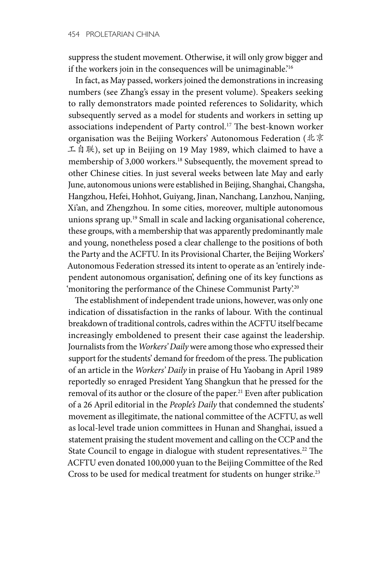suppress the student movement. Otherwise, it will only grow bigger and if the workers join in the consequences will be unimaginable.<sup>16</sup>

In fact, as May passed, workers joined the demonstrations in increasing numbers (see Zhang's essay in the present volume). Speakers seeking to rally demonstrators made pointed references to Solidarity, which subsequently served as a model for students and workers in setting up associations independent of Party control.17 The best-known worker organisation was the Beijing Workers' Autonomous Federation (北京 工自联), set up in Beijing on 19 May 1989, which claimed to have a membership of 3,000 workers.<sup>18</sup> Subsequently, the movement spread to other Chinese cities. In just several weeks between late May and early June, autonomous unions were established in Beijing, Shanghai, Changsha, Hangzhou, Hefei, Hohhot, Guiyang, Jinan, Nanchang, Lanzhou, Nanjing, Xi'an, and Zhengzhou. In some cities, moreover, multiple autonomous unions sprang up.19 Small in scale and lacking organisational coherence, these groups, with a membership that was apparently predominantly male and young, nonetheless posed a clear challenge to the positions of both the Party and the ACFTU. In its Provisional Charter, the Beijing Workers' Autonomous Federation stressed its intent to operate as an 'entirely independent autonomous organisation', defining one of its key functions as 'monitoring the performance of the Chinese Communist Party.<sup>20</sup>

The establishment of independent trade unions, however, was only one indication of dissatisfaction in the ranks of labour. With the continual breakdown of traditional controls, cadres within the ACFTU itself became increasingly emboldened to present their case against the leadership. Journalists from the *Workers' Daily* were among those who expressed their support for the students' demand for freedom of the press. The publication of an article in the *Workers' Daily* in praise of Hu Yaobang in April 1989 reportedly so enraged President Yang Shangkun that he pressed for the removal of its author or the closure of the paper.<sup>21</sup> Even after publication of a 26 April editorial in the *People's Daily* that condemned the students' movement as illegitimate, the national committee of the ACFTU, as well as local-level trade union committees in Hunan and Shanghai, issued a statement praising the student movement and calling on the CCP and the State Council to engage in dialogue with student representatives.<sup>22</sup> The ACFTU even donated 100,000 yuan to the Beijing Committee of the Red Cross to be used for medical treatment for students on hunger strike.<sup>23</sup>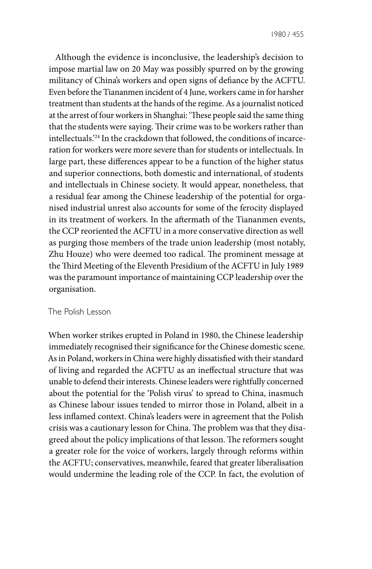Although the evidence is inconclusive, the leadership's decision to impose martial law on 20 May was possibly spurred on by the growing militancy of China's workers and open signs of defiance by the ACFTU. Even before the Tiananmen incident of 4 June, workers came in for harsher treatment than students at the hands of the regime. As a journalist noticed at the arrest of four workers in Shanghai: 'These people said the same thing that the students were saying. Their crime was to be workers rather than intellectuals.'24 In the crackdown that followed, the conditions of incarceration for workers were more severe than for students or intellectuals. In large part, these differences appear to be a function of the higher status and superior connections, both domestic and international, of students and intellectuals in Chinese society. It would appear, nonetheless, that a residual fear among the Chinese leadership of the potential for organised industrial unrest also accounts for some of the ferocity displayed in its treatment of workers. In the aftermath of the Tiananmen events, the CCP reoriented the ACFTU in a more conservative direction as well as purging those members of the trade union leadership (most notably, Zhu Houze) who were deemed too radical. The prominent message at the Third Meeting of the Eleventh Presidium of the ACFTU in July 1989 was the paramount importance of maintaining CCP leadership over the organisation.

## The Polish Lesson

When worker strikes erupted in Poland in 1980, the Chinese leadership immediately recognised their significance for the Chinese domestic scene. As in Poland, workers in China were highly dissatisfied with their standard of living and regarded the ACFTU as an ineffectual structure that was unable to defend their interests. Chinese leaders were rightfully concerned about the potential for the 'Polish virus' to spread to China, inasmuch as Chinese labour issues tended to mirror those in Poland, albeit in a less inflamed context. China's leaders were in agreement that the Polish crisis was a cautionary lesson for China. The problem was that they disagreed about the policy implications of that lesson. The reformers sought a greater role for the voice of workers, largely through reforms within the ACFTU; conservatives, meanwhile, feared that greater liberalisation would undermine the leading role of the CCP. In fact, the evolution of